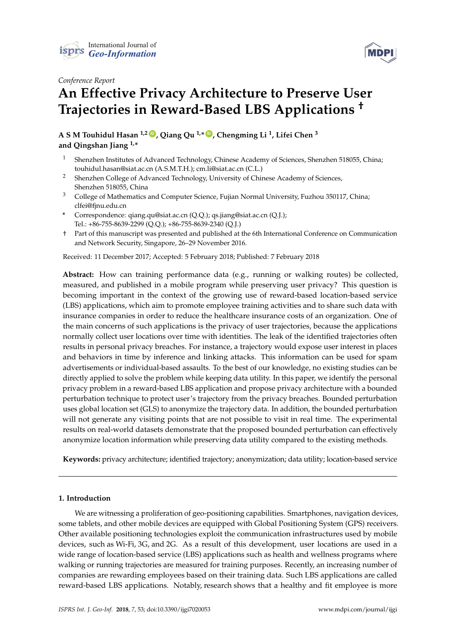



# *Conference Report* **An Effective Privacy Architecture to Preserve User Trajectories in Reward-Based LBS Applications †**

**A S M Touhidul Hasan 1,2 [ID](https://orcid.org/0000-0002-0929-6499) , Qiang Qu 1,\* [ID](https://orcid.org/0000-0001-5814-8460) , Chengming Li <sup>1</sup> , Lifei Chen <sup>3</sup> and Qingshan Jiang 1,\***

- <sup>1</sup> Shenzhen Institutes of Advanced Technology, Chinese Academy of Sciences, Shenzhen 518055, China; touhidul.hasan@siat.ac.cn (A.S.M.T.H.); cm.li@siat.ac.cn (C.L.)
- <sup>2</sup> Shenzhen College of Advanced Technology, University of Chinese Academy of Sciences, Shenzhen 518055, China
- <sup>3</sup> College of Mathematics and Computer Science, Fujian Normal University, Fuzhou 350117, China; clfei@fjnu.edu.cn
- **\*** Correspondence: qiang.qu@siat.ac.cn (Q.Q.); qs.jiang@siat.ac.cn (Q.J.); Tel.: +86-755-8639-2299 (Q.Q.); +86-755-8639-2340 (Q.J.)
- † Part of this manuscript was presented and published at the 6th International Conference on Communication and Network Security, Singapore, 26–29 November 2016.

Received: 11 December 2017; Accepted: 5 February 2018; Published: 7 February 2018

**Abstract:** How can training performance data (e.g., running or walking routes) be collected, measured, and published in a mobile program while preserving user privacy? This question is becoming important in the context of the growing use of reward-based location-based service (LBS) applications, which aim to promote employee training activities and to share such data with insurance companies in order to reduce the healthcare insurance costs of an organization. One of the main concerns of such applications is the privacy of user trajectories, because the applications normally collect user locations over time with identities. The leak of the identified trajectories often results in personal privacy breaches. For instance, a trajectory would expose user interest in places and behaviors in time by inference and linking attacks. This information can be used for spam advertisements or individual-based assaults. To the best of our knowledge, no existing studies can be directly applied to solve the problem while keeping data utility. In this paper, we identify the personal privacy problem in a reward-based LBS application and propose privacy architecture with a bounded perturbation technique to protect user's trajectory from the privacy breaches. Bounded perturbation uses global location set (GLS) to anonymize the trajectory data. In addition, the bounded perturbation will not generate any visiting points that are not possible to visit in real time. The experimental results on real-world datasets demonstrate that the proposed bounded perturbation can effectively anonymize location information while preserving data utility compared to the existing methods.

**Keywords:** privacy architecture; identified trajectory; anonymization; data utility; location-based service

# **1. Introduction**

We are witnessing a proliferation of geo-positioning capabilities. Smartphones, navigation devices, some tablets, and other mobile devices are equipped with Global Positioning System (GPS) receivers. Other available positioning technologies exploit the communication infrastructures used by mobile devices, such as Wi-Fi, 3G, and 2G. As a result of this development, user locations are used in a wide range of location-based service (LBS) applications such as health and wellness programs where walking or running trajectories are measured for training purposes. Recently, an increasing number of companies are rewarding employees based on their training data. Such LBS applications are called reward-based LBS applications. Notably, research shows that a healthy and fit employee is more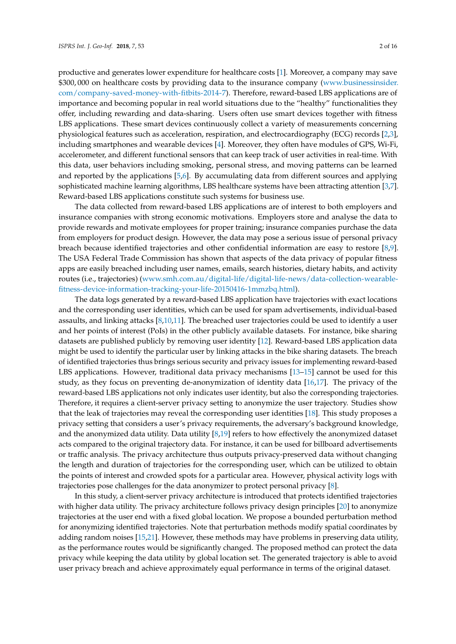productive and generates lower expenditure for healthcare costs [\[1\]](#page-13-0). Moreover, a company may save \$300, 000 on healthcare costs by providing data to the insurance company [\(www.businessinsider.](www.businessinsider.com/company-saved-money-with-fitbits-2014-7) [com/company-saved-money-with-fitbits-2014-7\)](www.businessinsider.com/company-saved-money-with-fitbits-2014-7). Therefore, reward-based LBS applications are of importance and becoming popular in real world situations due to the "healthy" functionalities they offer, including rewarding and data-sharing. Users often use smart devices together with fitness LBS applications. These smart devices continuously collect a variety of measurements concerning physiological features such as acceleration, respiration, and electrocardiography (ECG) records [\[2,](#page-13-1)[3\]](#page-13-2), including smartphones and wearable devices [\[4\]](#page-13-3). Moreover, they often have modules of GPS, Wi-Fi, accelerometer, and different functional sensors that can keep track of user activities in real-time. With this data, user behaviors including smoking, personal stress, and moving patterns can be learned and reported by the applications [\[5](#page-13-4)[,6\]](#page-13-5). By accumulating data from different sources and applying sophisticated machine learning algorithms, LBS healthcare systems have been attracting attention [\[3](#page-13-2)[,7\]](#page-13-6). Reward-based LBS applications constitute such systems for business use.

The data collected from reward-based LBS applications are of interest to both employers and insurance companies with strong economic motivations. Employers store and analyse the data to provide rewards and motivate employees for proper training; insurance companies purchase the data from employers for product design. However, the data may pose a serious issue of personal privacy breach because identified trajectories and other confidential information are easy to restore [\[8,](#page-14-0)[9\]](#page-14-1). The USA Federal Trade Commission has shown that aspects of the data privacy of popular fitness apps are easily breached including user names, emails, search histories, dietary habits, and activity routes (i.e., trajectories) [\(www.smh.com.au/digital-life/digital-life-news/data-collection-wearable](www.smh.com.au/digital-life/digital-life-news/data-collection-wearable-fitness-device-information-tracking-your-life-20150416-1mmzbq.html)[fitness-device-information-tracking-your-life-20150416-1mmzbq.html\)](www.smh.com.au/digital-life/digital-life-news/data-collection-wearable-fitness-device-information-tracking-your-life-20150416-1mmzbq.html).

The data logs generated by a reward-based LBS application have trajectories with exact locations and the corresponding user identities, which can be used for spam advertisements, individual-based assaults, and linking attacks [\[8,](#page-14-0)[10,](#page-14-2)[11\]](#page-14-3). The breached user trajectories could be used to identify a user and her points of interest (PoIs) in the other publicly available datasets. For instance, bike sharing datasets are published publicly by removing user identity [\[12\]](#page-14-4). Reward-based LBS application data might be used to identify the particular user by linking attacks in the bike sharing datasets. The breach of identified trajectories thus brings serious security and privacy issues for implementing reward-based LBS applications. However, traditional data privacy mechanisms [\[13–](#page-14-5)[15\]](#page-14-6) cannot be used for this study, as they focus on preventing de-anonymization of identity data [\[16](#page-14-7)[,17\]](#page-14-8). The privacy of the reward-based LBS applications not only indicates user identity, but also the corresponding trajectories. Therefore, it requires a client-server privacy setting to anonymize the user trajectory. Studies show that the leak of trajectories may reveal the corresponding user identities [\[18\]](#page-14-9). This study proposes a privacy setting that considers a user's privacy requirements, the adversary's background knowledge, and the anonymized data utility. Data utility [\[8,](#page-14-0)[19\]](#page-14-10) refers to how effectively the anonymized dataset acts compared to the original trajectory data. For instance, it can be used for billboard advertisements or traffic analysis. The privacy architecture thus outputs privacy-preserved data without changing the length and duration of trajectories for the corresponding user, which can be utilized to obtain the points of interest and crowded spots for a particular area. However, physical activity logs with trajectories pose challenges for the data anonymizer to protect personal privacy [\[8\]](#page-14-0).

In this study, a client-server privacy architecture is introduced that protects identified trajectories with higher data utility. The privacy architecture follows privacy design principles [\[20\]](#page-14-11) to anonymize trajectories at the user end with a fixed global location. We propose a bounded perturbation method for anonymizing identified trajectories. Note that perturbation methods modify spatial coordinates by adding random noises [\[15](#page-14-6)[,21\]](#page-14-12). However, these methods may have problems in preserving data utility, as the performance routes would be significantly changed. The proposed method can protect the data privacy while keeping the data utility by global location set. The generated trajectory is able to avoid user privacy breach and achieve approximately equal performance in terms of the original dataset.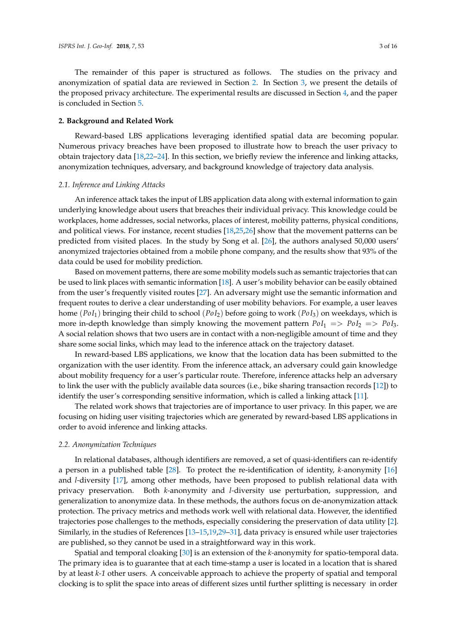The remainder of this paper is structured as follows. The studies on the privacy and anonymization of spatial data are reviewed in Section [2.](#page-2-0) In Section [3,](#page-4-0) we present the details of the proposed privacy architecture. The experimental results are discussed in Section [4,](#page-8-0) and the paper is concluded in Section [5.](#page-13-7)

## <span id="page-2-0"></span>**2. Background and Related Work**

Reward-based LBS applications leveraging identified spatial data are becoming popular. Numerous privacy breaches have been proposed to illustrate how to breach the user privacy to obtain trajectory data [\[18](#page-14-9)[,22](#page-14-13)[–24\]](#page-14-14). In this section, we briefly review the inference and linking attacks, anonymization techniques, adversary, and background knowledge of trajectory data analysis.

#### *2.1. Inference and Linking Attacks*

An inference attack takes the input of LBS application data along with external information to gain underlying knowledge about users that breaches their individual privacy. This knowledge could be workplaces, home addresses, social networks, places of interest, mobility patterns, physical conditions, and political views. For instance, recent studies [\[18](#page-14-9)[,25](#page-14-15)[,26\]](#page-14-16) show that the movement patterns can be predicted from visited places. In the study by Song et al. [\[26\]](#page-14-16), the authors analysed 50,000 users' anonymized trajectories obtained from a mobile phone company, and the results show that 93% of the data could be used for mobility prediction.

Based on movement patterns, there are some mobility models such as semantic trajectories that can be used to link places with semantic information [\[18\]](#page-14-9). A user's mobility behavior can be easily obtained from the user's frequently visited routes [\[27\]](#page-14-17). An adversary might use the semantic information and frequent routes to derive a clear understanding of user mobility behaviors. For example, a user leaves home (*Po I*1) bringing their child to school (*Po I*2) before going to work (*Po I*3) on weekdays, which is more in-depth knowledge than simply knowing the movement pattern  $Pol_1 \implies Pol_2 \implies Pol_3$ . A social relation shows that two users are in contact with a non-negligible amount of time and they share some social links, which may lead to the inference attack on the trajectory dataset.

In reward-based LBS applications, we know that the location data has been submitted to the organization with the user identity. From the inference attack, an adversary could gain knowledge about mobility frequency for a user's particular route. Therefore, inference attacks help an adversary to link the user with the publicly available data sources (i.e., bike sharing transaction records [\[12\]](#page-14-4)) to identify the user's corresponding sensitive information, which is called a linking attack [\[11\]](#page-14-3).

The related work shows that trajectories are of importance to user privacy. In this paper, we are focusing on hiding user visiting trajectories which are generated by reward-based LBS applications in order to avoid inference and linking attacks.

#### *2.2. Anonymization Techniques*

In relational databases, although identifiers are removed, a set of quasi-identifiers can re-identify a person in a published table [\[28\]](#page-14-18). To protect the re-identification of identity, *k-*anonymity [\[16\]](#page-14-7) and *l-*diversity [\[17\]](#page-14-8), among other methods, have been proposed to publish relational data with privacy preservation. Both *k-*anonymity and *l-*diversity use perturbation, suppression, and generalization to anonymize data. In these methods, the authors focus on de-anonymization attack protection. The privacy metrics and methods work well with relational data. However, the identified trajectories pose challenges to the methods, especially considering the preservation of data utility [\[2\]](#page-13-1). Similarly, in the studies of References [\[13](#page-14-5)[–15](#page-14-6)[,19](#page-14-10)[,29](#page-14-19)[–31\]](#page-14-20), data privacy is ensured while user trajectories are published, so they cannot be used in a straightforward way in this work.

Spatial and temporal cloaking [\[30\]](#page-14-21) is an extension of the *k-*anonymity for spatio-temporal data. The primary idea is to guarantee that at each time-stamp a user is located in a location that is shared by at least *k-1* other users. A conceivable approach to achieve the property of spatial and temporal clocking is to split the space into areas of different sizes until further splitting is necessary in order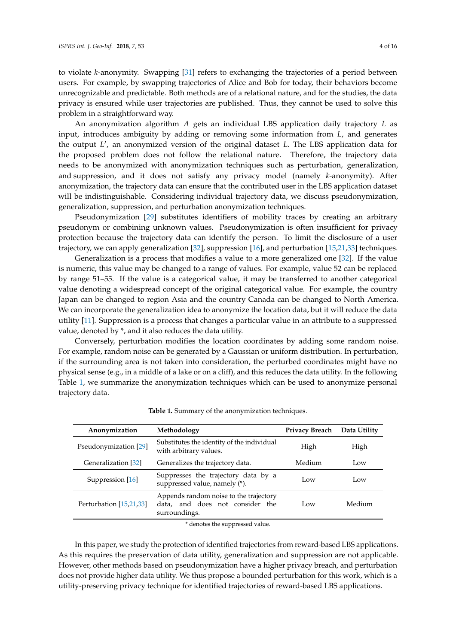to violate *k-*anonymity. Swapping [\[31\]](#page-14-20) refers to exchanging the trajectories of a period between users. For example, by swapping trajectories of Alice and Bob for today, their behaviors become unrecognizable and predictable. Both methods are of a relational nature, and for the studies, the data privacy is ensured while user trajectories are published. Thus, they cannot be used to solve this problem in a straightforward way.

An anonymization algorithm *A* gets an individual LBS application daily trajectory *L* as input, introduces ambiguity by adding or removing some information from *L*, and generates the output *L'*, an anonymized version of the original dataset *L*. The LBS application data for the proposed problem does not follow the relational nature. Therefore, the trajectory data needs to be anonymized with anonymization techniques such as perturbation, generalization, and suppression, and it does not satisfy any privacy model (namely *k-*anonymity). After anonymization, the trajectory data can ensure that the contributed user in the LBS application dataset will be indistinguishable. Considering individual trajectory data, we discuss pseudonymization, generalization, suppression, and perturbation anonymization techniques.

Pseudonymization [\[29\]](#page-14-19) substitutes identifiers of mobility traces by creating an arbitrary pseudonym or combining unknown values. Pseudonymization is often insufficient for privacy protection because the trajectory data can identify the person. To limit the disclosure of a user trajectory, we can apply generalization [\[32\]](#page-15-0), suppression [\[16\]](#page-14-7), and perturbation [\[15,](#page-14-6)[21,](#page-14-12)[33\]](#page-15-1) techniques.

Generalization is a process that modifies a value to a more generalized one [\[32\]](#page-15-0). If the value is numeric, this value may be changed to a range of values. For example, value 52 can be replaced by range 51–55. If the value is a categorical value, it may be transferred to another categorical value denoting a widespread concept of the original categorical value. For example, the country Japan can be changed to region Asia and the country Canada can be changed to North America. We can incorporate the generalization idea to anonymize the location data, but it will reduce the data utility [\[11\]](#page-14-3). Suppression is a process that changes a particular value in an attribute to a suppressed value, denoted by \*, and it also reduces the data utility.

Conversely, perturbation modifies the location coordinates by adding some random noise. For example, random noise can be generated by a Gaussian or uniform distribution. In perturbation, if the surrounding area is not taken into consideration, the perturbed coordinates might have no physical sense (e.g., in a middle of a lake or on a cliff), and this reduces the data utility. In the following Table [1,](#page-3-0) we summarize the anonymization techniques which can be used to anonymize personal trajectory data.

<span id="page-3-0"></span>

| Anonymization           | Methodology                                                                                | <b>Privacy Breach</b> | Data Utility |
|-------------------------|--------------------------------------------------------------------------------------------|-----------------------|--------------|
| Pseudonymization [29]   | Substitutes the identity of the individual<br>with arbitrary values.                       | High                  | High         |
| Generalization [32]     | Generalizes the trajectory data.                                                           | Medium                | Low          |
| Suppression [16]        | Suppresses the trajectory data by a<br>suppressed value, namely (*).                       | Low                   | Low          |
| Perturbation [15,21,33] | Appends random noise to the trajectory<br>data, and does not consider the<br>surroundings. | Low                   | Medium       |

**Table 1.** Summary of the anonymization techniques.

\* denotes the suppressed value.

In this paper, we study the protection of identified trajectories from reward-based LBS applications. As this requires the preservation of data utility, generalization and suppression are not applicable. However, other methods based on pseudonymization have a higher privacy breach, and perturbation does not provide higher data utility. We thus propose a bounded perturbation for this work, which is a utility-preserving privacy technique for identified trajectories of reward-based LBS applications.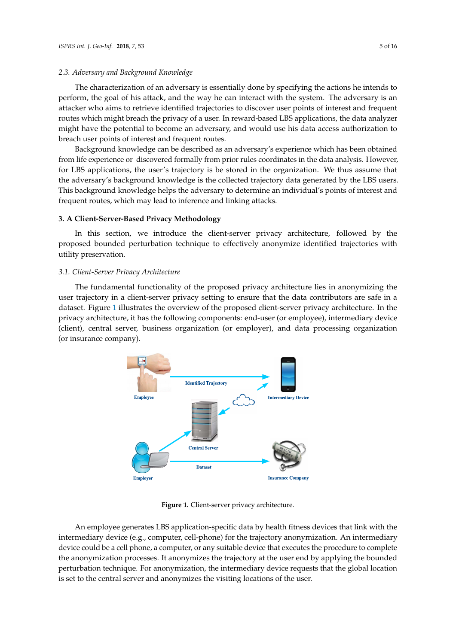## *2.3. Adversary and Background Knowledge*

The characterization of an adversary is essentially done by specifying the actions he intends to perform, the goal of his attack, and the way he can interact with the system. The adversary is an attacker who aims to retrieve identified trajectories to discover user points of interest and frequent routes which might breach the privacy of a user. In reward-based LBS applications, the data analyzer might have the potential to become an adversary, and would use his data access authorization to breach user points of interest and frequent routes.

Background knowledge can be described as an adversary's experience which has been obtained from life experience or discovered formally from prior rules coordinates in the data analysis. However, for LBS applications, the user's trajectory is be stored in the organization. We thus assume that the adversary's background knowledge is the collected trajectory data generated by the LBS users. This background knowledge helps the adversary to determine an individual's points of interest and frequent routes, which may lead to inference and linking attacks.

## <span id="page-4-0"></span>**3. A Client-Server-Based Privacy Methodology**

In this section, we introduce the client-server privacy architecture, followed by the proposed bounded perturbation technique to effectively anonymize identified trajectories with utility preservation.

# *3.1. Client-Server Privacy Architecture*

The fundamental functionality of the proposed privacy architecture lies in anonymizing the user trajectory in a client-server privacy setting to ensure that the data contributors are safe in a dataset. Figure [1](#page-4-1) illustrates the overview of the proposed client-server privacy architecture. In the privacy architecture, it has the following components: end-user (or employee), intermediary device (client), central server, business organization (or employer), and data processing organization (or insurance company).

<span id="page-4-1"></span>

**Figure 1.** Client-server privacy architecture.

An employee generates LBS application-specific data by health fitness devices that link with the intermediary device (e.g., computer, cell-phone) for the trajectory anonymization. An intermediary device could be a cell phone, a computer, or any suitable device that executes the procedure to complete the anonymization processes. It anonymizes the trajectory at the user end by applying the bounded perturbation technique. For anonymization, the intermediary device requests that the global location is set to the central server and anonymizes the visiting locations of the user.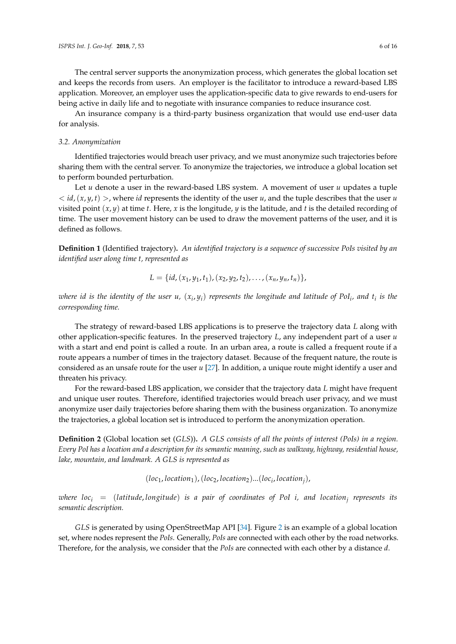The central server supports the anonymization process, which generates the global location set and keeps the records from users. An employer is the facilitator to introduce a reward-based LBS application. Moreover, an employer uses the application-specific data to give rewards to end-users for being active in daily life and to negotiate with insurance companies to reduce insurance cost.

An insurance company is a third-party business organization that would use end-user data for analysis.

## *3.2. Anonymization*

Identified trajectories would breach user privacy, and we must anonymize such trajectories before sharing them with the central server. To anonymize the trajectories, we introduce a global location set to perform bounded perturbation.

Let *u* denote a user in the reward-based LBS system. A movement of user *u* updates a tuple  $\langle i, (x, y, t) \rangle$ , where *id* represents the identity of the user *u*, and the tuple describes that the user *u* visited point (*x*, *y*) at time *t*. Here, *x* is the longitude, *y* is the latitude, and *t* is the detailed recording of time. The user movement history can be used to draw the movement patterns of the user, and it is defined as follows.

**Definition 1** (Identified trajectory)**.** *An identified trajectory is a sequence of successive PoIs visited by an identified user along time t, represented as*

$$
L = \{ id, (x_1, y_1, t_1), (x_2, y_2, t_2), \ldots, (x_n, y_n, t_n) \},
$$

 $w$ here id is the identity of the user  $u$ ,  $(x_i, y_i)$  represents the longitude and latitude of PoI $_i$ , and  $t_i$  is the *corresponding time.*

The strategy of reward-based LBS applications is to preserve the trajectory data *L* along with other application-specific features. In the preserved trajectory *L*, any independent part of a user *u* with a start and end point is called a route. In an urban area, a route is called a frequent route if a route appears a number of times in the trajectory dataset. Because of the frequent nature, the route is considered as an unsafe route for the user *u* [\[27\]](#page-14-17). In addition, a unique route might identify a user and threaten his privacy.

For the reward-based LBS application, we consider that the trajectory data *L* might have frequent and unique user routes. Therefore, identified trajectories would breach user privacy, and we must anonymize user daily trajectories before sharing them with the business organization. To anonymize the trajectories, a global location set is introduced to perform the anonymization operation.

**Definition 2** (Global location set (*GLS*))**.** *A GLS consists of all the points of interest (PoIs) in a region. Every PoI has a location and a description for its semantic meaning, such as walkway, highway, residential house, lake, mountain, and landmark. A GLS is represented as*

 $(loc_1, location_1), (loc_2, location_2)...(loc_i, location_j),$ 

*where loc<sup>i</sup>* = (*latitude*, *longitude*) *is a pair of coordinates of PoI i, and location<sup>j</sup> represents its semantic description.*

*GLS* is generated by using OpenStreetMap API [\[34\]](#page-15-2). Figure [2](#page-6-0) is an example of a global location set, where nodes represent the *PoIs*. Generally, *PoIs* are connected with each other by the road networks. Therefore, for the analysis, we consider that the *PoIs* are connected with each other by a distance *d*.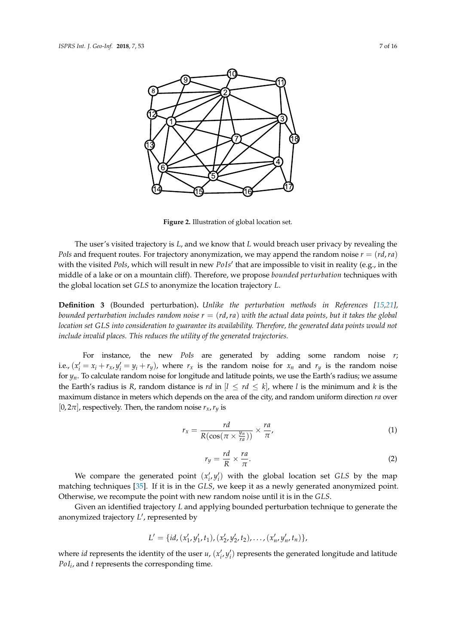<span id="page-6-0"></span>

**Figure 2.** Illustration of global location set.

The user's visited trajectory is *L*, and we know that *L* would breach user privacy by revealing the *PoIs* and frequent routes. For trajectory anonymization, we may append the random noise  $r = (rd, ra)$ with the visited *PoIs*, which will result in new *PoIs'* that are impossible to visit in reality (e.g., in the middle of a lake or on a mountain cliff). Therefore, we propose *bounded perturbation* techniques with the global location set *GLS* to anonymize the location trajectory *L*.

**Definition 3** (Bounded perturbation)**.** *Unlike the perturbation methods in References [\[15,](#page-14-6)[21\]](#page-14-12), bounded perturbation includes random noise r* = (*rd*,*ra*) *with the actual data points, but it takes the global location set GLS into consideration to guarantee its availability. Therefore, the generated data points would not include invalid places. This reduces the utility of the generated trajectories.*

For instance, the new *PoIs* are generated by adding some random noise *r*; i.e.,  $(x'_i = x_i + r_x, y'_i = y_i + r_y)$ , where  $r_x$  is the random noise for  $x_n$  and  $r_y$  is the random noise for *yn*. To calculate random noise for longitude and latitude points, we use the Earth's radius; we assume the Earth's radius is *R*, random distance is *rd* in  $\vert l \vert \leq r d \leq k \vert$ , where *l* is the minimum and *k* is the maximum distance in meters which depends on the area of the city, and random uniform direction *ra* over  $[0, 2\pi]$ , respectively. Then, the random noise  $r_x$ ,  $r_y$  is

<span id="page-6-1"></span>
$$
r_x = \frac{rd}{R(\cos(\pi \times \frac{y_n}{ra}))} \times \frac{ra}{\pi},\tag{1}
$$

<span id="page-6-2"></span>
$$
r_y = \frac{rd}{R} \times \frac{ra}{\pi}.
$$
 (2)

We compare the generated point  $(x'_i, y'_i)$  with the global location set *GLS* by the map matching techniques [\[35\]](#page-15-3). If it is in the *GLS*, we keep it as a newly generated anonymized point. Otherwise, we recompute the point with new random noise until it is in the *GLS*.

Given an identified trajectory *L* and applying bounded perturbation technique to generate the anonymized trajectory L', represented by

$$
L' = \{ id, (x'_1, y'_1, t_1), (x'_2, y'_2, t_2), \dots, (x'_n, y'_n, t_n) \},
$$

where *id* represents the identity of the user  $u$ ,  $(x'_i, y'_i)$  represents the generated longitude and latitude *Po I<sup>i</sup>* , and *t* represents the corresponding time.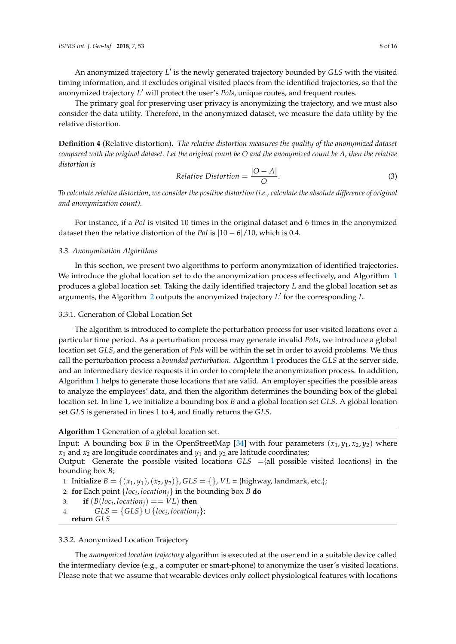An anonymized trajectory L' is the newly generated trajectory bounded by *GLS* with the visited timing information, and it excludes original visited places from the identified trajectories, so that the anonymized trajectory L' will protect the user's *PoIs*, unique routes, and frequent routes.

The primary goal for preserving user privacy is anonymizing the trajectory, and we must also consider the data utility. Therefore, in the anonymized dataset, we measure the data utility by the relative distortion.

**Definition 4** (Relative distortion)**.** *The relative distortion measures the quality of the anonymized dataset compared with the original dataset. Let the original count be O and the anonymized count be A, then the relative distortion is*

<span id="page-7-1"></span>
$$
Relative Distortion = \frac{|O - A|}{O}.
$$
\n(3)

*To calculate relative distortion, we consider the positive distortion (i.e., calculate the absolute difference of original and anonymization count).*

For instance, if a *PoI* is visited 10 times in the original dataset and 6 times in the anonymized dataset then the relative distortion of the *PoI* is  $|10 - 6|/10$ , which is 0.4.

## *3.3. Anonymization Algorithms*

In this section, we present two algorithms to perform anonymization of identified trajectories. We introduce the global location set to do the anonymization process effectively, and Algorithm [1](#page-7-0) produces a global location set. Taking the daily identified trajectory *L* and the global location set as arguments, the Algorithm [2](#page-8-1) outputs the anonymized trajectory L' for the corresponding L.

## 3.3.1. Generation of Global Location Set

The algorithm is introduced to complete the perturbation process for user-visited locations over a particular time period. As a perturbation process may generate invalid *PoIs*, we introduce a global location set *GLS*, and the generation of *PoIs* will be within the set in order to avoid problems. We thus call the perturbation process a *bounded perturbation*. Algorithm [1](#page-7-0) produces the *GLS* at the server side, and an intermediary device requests it in order to complete the anonymization process. In addition, Algorithm [1](#page-7-0) helps to generate those locations that are valid. An employer specifies the possible areas to analyze the employees' data, and then the algorithm determines the bounding box of the global location set. In line 1, we initialize a bounding box *B* and a global location set *GLS*. A global location set *GLS* is generated in lines 1 to 4, and finally returns the *GLS*.

# <span id="page-7-0"></span>**Algorithm 1** Generation of a global location set.

Input: A bounding box *B* in the OpenStreetMap [\[34\]](#page-15-2) with four parameters  $(x_1, y_1, x_2, y_2)$  where  $x_1$  and  $x_2$  are longitude coordinates and  $y_1$  and  $y_2$  are latitude coordinates;

Output: Generate the possible visited locations *GLS* ={all possible visited locations} in the bounding box *B*;

1: Initialize  $B = \{(x_1, y_1), (x_2, y_2)\}$ ,  $GLS = \{\}$ ,  $VL = \{\text{highway}, \text{landmark}, \text{etc.}\};$ 

- 2: **for** Each point {*loc<sup>i</sup>* , *locationj*} in the bounding box *B* **do**
- 3: **if**  $(B(loc_i, location_j) == VL)$  then
- 4:  $GLS = \{GLS\} \cup \{loc_i, location_j\};$ **return** *GLS*

#### 3.3.2. Anonymized Location Trajectory

The *anonymized location trajectory* algorithm is executed at the user end in a suitable device called the intermediary device (e.g., a computer or smart-phone) to anonymize the user's visited locations. Please note that we assume that wearable devices only collect physiological features with locations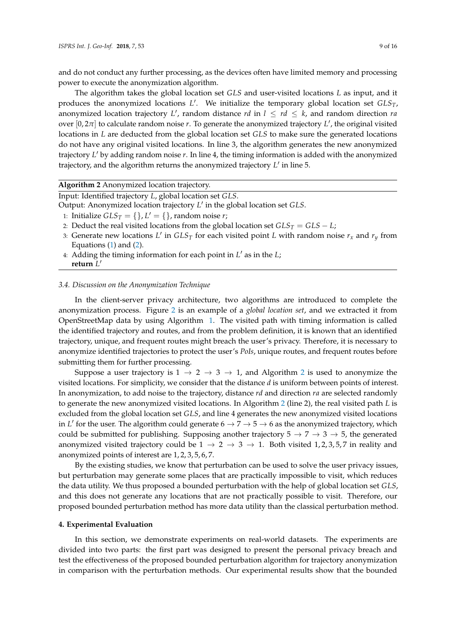and do not conduct any further processing, as the devices often have limited memory and processing power to execute the anonymization algorithm.

The algorithm takes the global location set *GLS* and user-visited locations *L* as input, and it produces the anonymized locations *L'*. We initialize the temporary global location set  $GLS_T$ , anonymized location trajectory L', random distance *rd* in  $l \leq rd \leq k$ , and random direction *ra* over  $[0, 2π]$  to calculate random noise *r*. To generate the anonymized trajectory *L'*, the original visited locations in *L* are deducted from the global location set *GLS* to make sure the generated locations do not have any original visited locations. In line 3, the algorithm generates the new anonymized trajectory L' by adding random noise *r*. In line 4, the timing information is added with the anonymized trajectory, and the algorithm returns the anonymized trajectory L' in line 5.

## <span id="page-8-1"></span>**Algorithm 2** Anonymized location trajectory.

Input: Identified trajectory *L*, global location set *GLS*.

Output: Anonymized location trajectory L' in the global location set GLS.

- 1: Initialize  $GLS_T = \{\}, L' = \{\}$ , random noise *r*;
- 2: Deduct the real visited locations from the global location set  $GLS_T = GLS L$ ;
- 3: Generate new locations  $L'$  in  $GLS_T$  for each visited point  $L$  with random noise  $r_x$  and  $r_y$  from Equations  $(1)$  and  $(2)$ .
- 4: Adding the timing information for each point in  $L'$  as in the  $L$ ; **return** *L* 0

## *3.4. Discussion on the Anonymization Technique*

In the client-server privacy architecture, two algorithms are introduced to complete the anonymization process. Figure [2](#page-6-0) is an example of a *global location set*, and we extracted it from OpenStreetMap data by using Algorithm [1.](#page-7-0) The visited path with timing information is called the identified trajectory and routes, and from the problem definition, it is known that an identified trajectory, unique, and frequent routes might breach the user's privacy. Therefore, it is necessary to anonymize identified trajectories to protect the user's *PoIs*, unique routes, and frequent routes before submitting them for further processing.

Suppose a user trajectory is  $1 \rightarrow 2 \rightarrow 3 \rightarrow 1$  $1 \rightarrow 2 \rightarrow 3 \rightarrow 1$  $1 \rightarrow 2 \rightarrow 3 \rightarrow 1$ , and Algorithm 2 is used to anonymize the visited locations. For simplicity, we consider that the distance *d* is uniform between points of interest. In anonymization, to add noise to the trajectory, distance *rd* and direction *ra* are selected randomly to generate the new anonymized visited locations. In Algorithm [2](#page-8-1) (line 2), the real visited path *L* is excluded from the global location set *GLS*, and line 4 generates the new anonymized visited locations in *L'* for the user. The algorithm could generate  $6 \rightarrow 7 \rightarrow 5 \rightarrow 6$  as the anonymized trajectory, which could be submitted for publishing. Supposing another trajectory  $5 \rightarrow 7 \rightarrow 3 \rightarrow 5$ , the generated anonymized visited trajectory could be  $1 \rightarrow 2 \rightarrow 3 \rightarrow 1$ . Both visited 1,2,3,5,7 in reality and anonymized points of interest are 1, 2, 3, 5, 6, 7.

By the existing studies, we know that perturbation can be used to solve the user privacy issues, but perturbation may generate some places that are practically impossible to visit, which reduces the data utility. We thus proposed a bounded perturbation with the help of global location set *GLS*, and this does not generate any locations that are not practically possible to visit. Therefore, our proposed bounded perturbation method has more data utility than the classical perturbation method.

# <span id="page-8-0"></span>**4. Experimental Evaluation**

In this section, we demonstrate experiments on real-world datasets. The experiments are divided into two parts: the first part was designed to present the personal privacy breach and test the effectiveness of the proposed bounded perturbation algorithm for trajectory anonymization in comparison with the perturbation methods. Our experimental results show that the bounded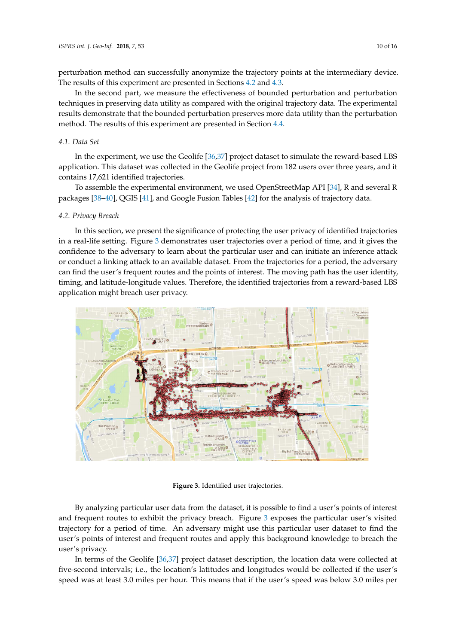perturbation method can successfully anonymize the trajectory points at the intermediary device. The results of this experiment are presented in Sections [4.2](#page-9-0) and [4.3.](#page-10-0)

In the second part, we measure the effectiveness of bounded perturbation and perturbation techniques in preserving data utility as compared with the original trajectory data. The experimental results demonstrate that the bounded perturbation preserves more data utility than the perturbation method. The results of this experiment are presented in Section [4.4.](#page-11-0)

# *4.1. Data Set*

In the experiment, we use the Geolife [\[36,](#page-15-4)[37\]](#page-15-5) project dataset to simulate the reward-based LBS application. This dataset was collected in the Geolife project from 182 users over three years, and it contains 17,621 identified trajectories.

To assemble the experimental environment, we used OpenStreetMap API [\[34\]](#page-15-2), R and several R packages [\[38](#page-15-6)[–40\]](#page-15-7), QGIS [\[41\]](#page-15-8), and Google Fusion Tables [\[42\]](#page-15-9) for the analysis of trajectory data.

## <span id="page-9-0"></span>*4.2. Privacy Breach*

In this section, we present the significance of protecting the user privacy of identified trajectories in a real-life setting. Figure [3](#page-9-1) demonstrates user trajectories over a period of time, and it gives the confidence to the adversary to learn about the particular user and can initiate an inference attack or conduct a linking attack to an available dataset. From the trajectories for a period, the adversary can find the user's frequent routes and the points of interest. The moving path has the user identity, timing, and latitude-longitude values. Therefore, the identified trajectories from a reward-based LBS application might breach user privacy.

<span id="page-9-1"></span>

#### **Figure 3.** Identified user trajectories.

By analyzing particular user data from the dataset, it is possible to find a user's points of interest and frequent routes to exhibit the privacy breach. Figure [3](#page-9-1) exposes the particular user's visited trajectory for a period of time. An adversary might use this particular user dataset to find the user's points of interest and frequent routes and apply this background knowledge to breach the user's privacy.

In terms of the Geolife [\[36,](#page-15-4)[37\]](#page-15-5) project dataset description, the location data were collected at five-second intervals; i.e., the location's latitudes and longitudes would be collected if the user's speed was at least 3.0 miles per hour. This means that if the user's speed was below 3.0 miles per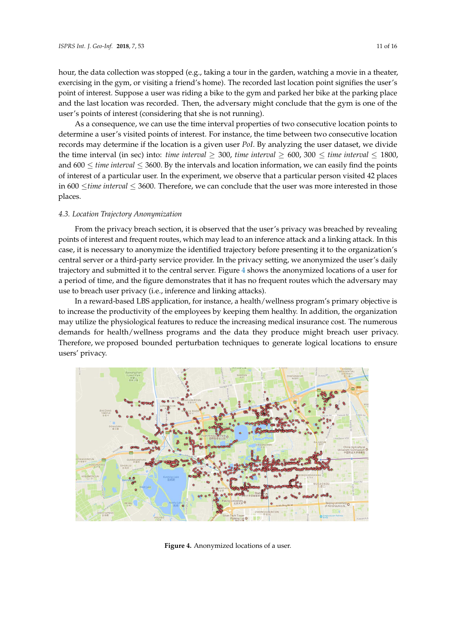hour, the data collection was stopped (e.g., taking a tour in the garden, watching a movie in a theater, exercising in the gym, or visiting a friend's home). The recorded last location point signifies the user's point of interest. Suppose a user was riding a bike to the gym and parked her bike at the parking place and the last location was recorded. Then, the adversary might conclude that the gym is one of the user's points of interest (considering that she is not running).

As a consequence, we can use the time interval properties of two consecutive location points to determine a user's visited points of interest. For instance, the time between two consecutive location records may determine if the location is a given user *PoI*. By analyzing the user dataset, we divide the time interval (in sec) into: *time interval*  $\geq$  300, *time interval*  $\geq$  600, 300  $\leq$  *time interval*  $\leq$  1800, and 600 ≤ *time interval* ≤ 3600. By the intervals and location information, we can easily find the points of interest of a particular user. In the experiment, we observe that a particular person visited 42 places in 600 ≤*time interval* ≤ 3600. Therefore, we can conclude that the user was more interested in those places.

# <span id="page-10-0"></span>*4.3. Location Trajectory Anonymization*

From the privacy breach section, it is observed that the user's privacy was breached by revealing points of interest and frequent routes, which may lead to an inference attack and a linking attack. In this case, it is necessary to anonymize the identified trajectory before presenting it to the organization's central server or a third-party service provider. In the privacy setting, we anonymized the user's daily trajectory and submitted it to the central server. Figure [4](#page-10-1) shows the anonymized locations of a user for a period of time, and the figure demonstrates that it has no frequent routes which the adversary may use to breach user privacy (i.e., inference and linking attacks).

In a reward-based LBS application, for instance, a health/wellness program's primary objective is to increase the productivity of the employees by keeping them healthy. In addition, the organization may utilize the physiological features to reduce the increasing medical insurance cost. The numerous demands for health/wellness programs and the data they produce might breach user privacy. Therefore, we proposed bounded perturbation techniques to generate logical locations to ensure users' privacy.

<span id="page-10-1"></span>

**Figure 4.** Anonymized locations of a user.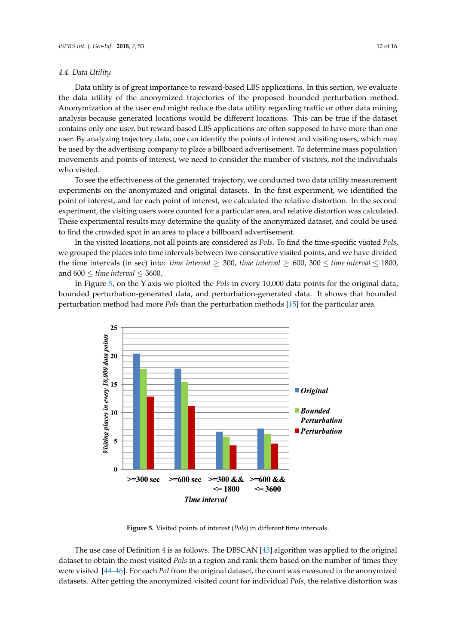## <span id="page-11-0"></span>*4.4. Data Utility*

Data utility is of great importance to reward-based LBS applications. In this section, we evaluate the data utility of the anonymized trajectories of the proposed bounded perturbation method. Anonymization at the user end might reduce the data utility regarding traffic or other data mining analysis because generated locations would be different locations. This can be true if the dataset contains only one user, but reward-based LBS applications are often supposed to have more than one user. By analyzing trajectory data, one can identify the points of interest and visiting users, which may be used by the advertising company to place a billboard advertisement. To determine mass population movements and points of interest, we need to consider the number of visitors, not the individuals who visited.

To see the effectiveness of the generated trajectory, we conducted two data utility measurement experiments on the anonymized and original datasets. In the first experiment, we identified the point of interest, and for each point of interest, we calculated the relative distortion. In the second experiment, the visiting users were counted for a particular area, and relative distortion was calculated. These experimental results may determine the quality of the anonymized dataset, and could be used to find the crowded spot in an area to place a billboard advertisement.

In the visited locations, not all points are considered as *PoIs*. To find the time-specific visited *PoIs*, we grouped the places into time intervals between two consecutive visited points, and we have divided the time intervals (in sec) into: *time interval*  $\geq$  300, *time interval*  $\geq$  600, 300  $\leq$  *time interval*  $\leq$  1800, and  $600 \leq$  *time interval*  $\leq 3600$ .

In Figure [5,](#page-11-1) on the Y-axis we plotted the *PoIs* in every 10,000 data points for the original data, bounded perturbation-generated data, and perturbation-generated data. It shows that bounded perturbation method had more *PoIs* than the perturbation methods [\[15\]](#page-14-6) for the particular area.

<span id="page-11-1"></span>

**Figure 5.** Visited points of interest (*PoIs*) in different time intervals.

The use case of Definition 4 is as follows. The DBSCAN [\[43\]](#page-15-10) algorithm was applied to the original dataset to obtain the most visited *PoIs* in a region and rank them based on the number of times they were visited [\[44–](#page-15-11)[46\]](#page-15-12). For each *PoI* from the original dataset, the count was measured in the anonymized datasets. After getting the anonymized visited count for individual *PoIs*, the relative distortion was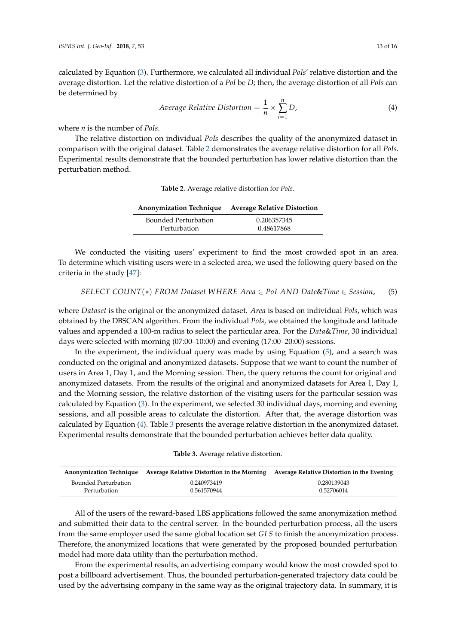calculated by Equation [\(3\)](#page-7-1). Furthermore, we calculated all individual *PoIs*' relative distortion and the average distortion. Let the relative distortion of a *PoI* be *D*; then, the average distortion of all *PoIs* can be determined by

<span id="page-12-2"></span>
$$
Average Relative Distortion = \frac{1}{n} \times \sum_{i=1}^{n} D,
$$
\n(4)

where *n* is the number of *PoIs*.

<span id="page-12-0"></span>The relative distortion on individual *PoIs* describes the quality of the anonymized dataset in comparison with the original dataset. Table [2](#page-12-0) demonstrates the average relative distortion for all *PoIs*. Experimental results demonstrate that the bounded perturbation has lower relative distortion than the perturbation method.

**Table 2.** Average relative distortion for *PoIs*.

| <b>Anonymization Technique</b> | <b>Average Relative Distortion</b> |
|--------------------------------|------------------------------------|
| Bounded Perturbation           | 0.206357345                        |
| Perturbation                   | 0.48617868                         |

We conducted the visiting users' experiment to find the most crowded spot in an area. To determine which visiting users were in a selected area, we used the following query based on the criteria in the study [\[47\]](#page-15-13):

<span id="page-12-1"></span>*SELECT COUNT*(∗) *FROM Dataset WHERE Area* ∈ *Po I AND Date*&*Time* ∈ *Session*, (5)

where *Dataset* is the original or the anonymized dataset. *Area* is based on individual *PoIs*, which was obtained by the DBSCAN algorithm. From the individual *PoIs*, we obtained the longitude and latitude values and appended a 100-m radius to select the particular area. For the *Data*&*Time*, 30 individual days were selected with morning (07:00–10:00) and evening (17:00–20:00) sessions.

In the experiment, the individual query was made by using Equation [\(5\)](#page-12-1), and a search was conducted on the original and anonymized datasets. Suppose that we want to count the number of users in Area 1, Day 1, and the Morning session. Then, the query returns the count for original and anonymized datasets. From the results of the original and anonymized datasets for Area 1, Day 1, and the Morning session, the relative distortion of the visiting users for the particular session was calculated by Equation [\(3\)](#page-7-1). In the experiment, we selected 30 individual days, morning and evening sessions, and all possible areas to calculate the distortion. After that, the average distortion was calculated by Equation [\(4\)](#page-12-2). Table [3](#page-12-3) presents the average relative distortion in the anonymized dataset. Experimental results demonstrate that the bounded perturbation achieves better data quality.

| <b>Table 3.</b> Average relative distortion. |  |
|----------------------------------------------|--|
|----------------------------------------------|--|

<span id="page-12-3"></span>

|                      | Anonymization Technique Average Relative Distortion in the Morning Average Relative Distortion in the Evening |             |
|----------------------|---------------------------------------------------------------------------------------------------------------|-------------|
| Bounded Perturbation | 0.240973419                                                                                                   | 0.280139043 |
| Perturbation         | 0.561570944                                                                                                   | 0.52706014  |

All of the users of the reward-based LBS applications followed the same anonymization method and submitted their data to the central server. In the bounded perturbation process, all the users from the same employer used the same global location set *GLS* to finish the anonymization process. Therefore, the anonymized locations that were generated by the proposed bounded perturbation model had more data utility than the perturbation method.

From the experimental results, an advertising company would know the most crowded spot to post a billboard advertisement. Thus, the bounded perturbation-generated trajectory data could be used by the advertising company in the same way as the original trajectory data. In summary, it is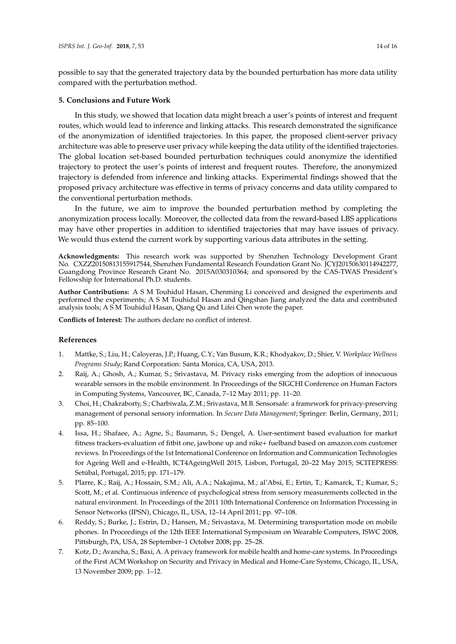possible to say that the generated trajectory data by the bounded perturbation has more data utility compared with the perturbation method.

# <span id="page-13-7"></span>**5. Conclusions and Future Work**

In this study, we showed that location data might breach a user's points of interest and frequent routes, which would lead to inference and linking attacks. This research demonstrated the significance of the anonymization of identified trajectories. In this paper, the proposed client-server privacy architecture was able to preserve user privacy while keeping the data utility of the identified trajectories. The global location set-based bounded perturbation techniques could anonymize the identified trajectory to protect the user's points of interest and frequent routes. Therefore, the anonymized trajectory is defended from inference and linking attacks. Experimental findings showed that the proposed privacy architecture was effective in terms of privacy concerns and data utility compared to the conventional perturbation methods.

In the future, we aim to improve the bounded perturbation method by completing the anonymization process locally. Moreover, the collected data from the reward-based LBS applications may have other properties in addition to identified trajectories that may have issues of privacy. We would thus extend the current work by supporting various data attributes in the setting.

**Acknowledgments:** This research work was supported by Shenzhen Technology Development Grant No. CXZZ20150813155917544, Shenzhen Fundamental Research Foundation Grant No. JCYJ20150630114942277, Guangdong Province Research Grant No. 2015A030310364; and sponsored by the CAS-TWAS President's Fellowship for International Ph.D. students.

**Author Contributions:** A S M Touhidul Hasan, Chenming Li conceived and designed the experiments and performed the experiments; A S M Touhidul Hasan and Qingshan Jiang analyzed the data and contributed analysis tools; A S M Touhidul Hasan, Qiang Qu and Lifei Chen wrote the paper.

**Conflicts of Interest:** The authors declare no conflict of interest.

# **References**

- <span id="page-13-0"></span>1. Mattke, S.; Liu, H.; Caloyeras, J.P.; Huang, C.Y.; Van Busum, K.R.; Khodyakov, D.; Shier, V. *Workplace Wellness Programs Study*; Rand Corporation: Santa Monica, CA, USA, 2013.
- <span id="page-13-1"></span>2. Raij, A.; Ghosh, A.; Kumar, S.; Srivastava, M. Privacy risks emerging from the adoption of innocuous wearable sensors in the mobile environment. In Proceedings of the SIGCHI Conference on Human Factors in Computing Systems, Vancouver, BC, Canada, 7–12 May 2011; pp. 11–20.
- <span id="page-13-2"></span>3. Choi, H.; Chakraborty, S.; Charbiwala, Z.M.; Srivastava, M.B. Sensorsafe: a framework for privacy-preserving management of personal sensory information. In *Secure Data Management*; Springer: Berlin, Germany, 2011; pp. 85–100.
- <span id="page-13-3"></span>4. Issa, H.; Shafaee, A.; Agne, S.; Baumann, S.; Dengel, A. User-sentiment based evaluation for market fitness trackers-evaluation of fitbit one, jawbone up and nike+ fuelband based on amazon.com customer reviews. In Proceedings of the 1st International Conference on Information and Communication Technologies for Ageing Well and e-Health, ICT4AgeingWell 2015, Lisbon, Portugal, 20–22 May 2015; SCITEPRESS: Setúbal, Portugal, 2015; pp. 171–179.
- <span id="page-13-4"></span>5. Plarre, K.; Raij, A.; Hossain, S.M.; Ali, A.A.; Nakajima, M.; al'Absi, E.; Ertin, T.; Kamarck, T.; Kumar, S.; Scott, M.; et al. Continuous inference of psychological stress from sensory measurements collected in the natural environment. In Proceedings of the 2011 10th International Conference on Information Processing in Sensor Networks (IPSN), Chicago, IL, USA, 12–14 April 2011; pp. 97–108.
- <span id="page-13-5"></span>6. Reddy, S.; Burke, J.; Estrin, D.; Hansen, M.; Srivastava, M. Determining transportation mode on mobile phones. In Proceedings of the 12th IEEE International Symposium on Wearable Computers, ISWC 2008, Pittsburgh, PA, USA, 28 September–1 October 2008; pp. 25–28.
- <span id="page-13-6"></span>7. Kotz, D.; Avancha, S.; Baxi, A. A privacy framework for mobile health and home-care systems. In Proceedings of the First ACM Workshop on Security and Privacy in Medical and Home-Care Systems, Chicago, IL, USA, 13 November 2009; pp. 1–12.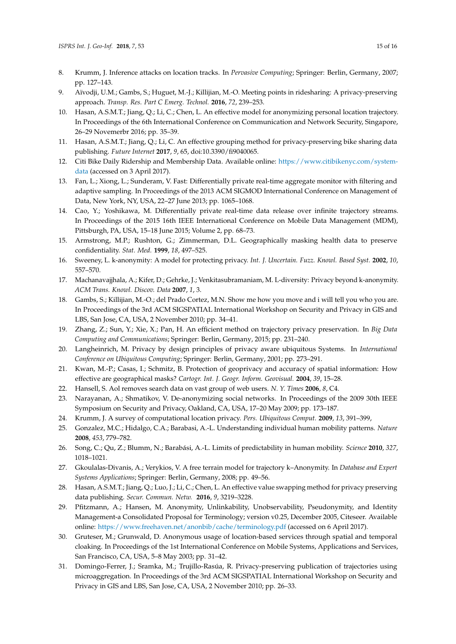- <span id="page-14-0"></span>8. Krumm, J. Inference attacks on location tracks. In *Pervasive Computing*; Springer: Berlin, Germany, 2007; pp. 127–143.
- <span id="page-14-1"></span>9. Aïvodji, U.M.; Gambs, S.; Huguet, M.-J.; Killijian, M.-O. Meeting points in ridesharing: A privacy-preserving approach. *Transp. Res. Part C Emerg. Technol.* **2016**, *72*, 239–253.
- <span id="page-14-2"></span>10. Hasan, A.S.M.T.; Jiang, Q.; Li, C.; Chen, L. An effective model for anonymizing personal location trajectory. In Proceedings of the 6th International Conference on Communication and Network Security, Singapore, 26–29 Novemerbr 2016; pp. 35–39.
- <span id="page-14-3"></span>11. Hasan, A.S.M.T.; Jiang, Q.; Li, C. An effective grouping method for privacy-preserving bike sharing data publishing. *Future Internet* **2017**, *9*, 65, doi:10.3390/fi9040065.
- <span id="page-14-4"></span>12. Citi Bike Daily Ridership and Membership Data. Available online: [https://www.citibikenyc.com/system](https://www.citibikenyc.com/system-data)[data](https://www.citibikenyc.com/system-data) (accessed on 3 April 2017).
- <span id="page-14-5"></span>13. Fan, L.; Xiong, L.; Sunderam, V. Fast: Differentially private real-time aggregate monitor with filtering and adaptive sampling. In Proceedings of the 2013 ACM SIGMOD International Conference on Management of Data, New York, NY, USA, 22–27 June 2013; pp. 1065–1068.
- 14. Cao, Y.; Yoshikawa, M. Differentially private real-time data release over infinite trajectory streams. In Proceedings of the 2015 16th IEEE International Conference on Mobile Data Management (MDM), Pittsburgh, PA, USA, 15–18 June 2015; Volume 2, pp. 68–73.
- <span id="page-14-6"></span>15. Armstrong, M.P.; Rushton, G.; Zimmerman, D.L. Geographically masking health data to preserve confidentiality. *Stat. Med.* **1999**, *18*, 497–525.
- <span id="page-14-7"></span>16. Sweeney, L. k-anonymity: A model for protecting privacy. *Int. J. Uncertain. Fuzz. Knowl. Based Syst.* **2002**, *10*, 557–570.
- <span id="page-14-8"></span>17. Machanavajjhala, A.; Kifer, D.; Gehrke, J.; Venkitasubramaniam, M. L-diversity: Privacy beyond k-anonymity. *ACM Trans. Knowl. Discov. Data* **2007**, *1*, 3.
- <span id="page-14-9"></span>18. Gambs, S.; Killijian, M.-O.; del Prado Cortez, M.N. Show me how you move and i will tell you who you are. In Proceedings of the 3rd ACM SIGSPATIAL International Workshop on Security and Privacy in GIS and LBS, San Jose, CA, USA, 2 November 2010; pp. 34–41.
- <span id="page-14-10"></span>19. Zhang, Z.; Sun, Y.; Xie, X.; Pan, H. An efficient method on trajectory privacy preservation. In *Big Data Computing and Communications*; Springer: Berlin, Germany, 2015; pp. 231–240.
- <span id="page-14-11"></span>20. Langheinrich, M. Privacy by design principles of privacy aware ubiquitous Systems. In *International Conference on Ubiquitous Computing*; Springer: Berlin, Germany, 2001; pp. 273–291.
- <span id="page-14-12"></span>21. Kwan, M.-P.; Casas, I.; Schmitz, B. Protection of geoprivacy and accuracy of spatial information: How effective are geographical masks? *Cartogr. Int. J. Geogr. Inform. Geovisual.* **2004**, *39*, 15–28.
- <span id="page-14-13"></span>22. Hansell, S. Aol removes search data on vast group of web users. *N. Y. Times* **2006**, *8*, C4.
- 23. Narayanan, A.; Shmatikov, V. De-anonymizing social networks. In Proceedings of the 2009 30th IEEE Symposium on Security and Privacy, Oakland, CA, USA, 17–20 May 2009; pp. 173–187.
- <span id="page-14-14"></span>24. Krumm, J. A survey of computational location privacy. *Pers. Ubiquitous Comput.* **2009**, *13*, 391–399,
- <span id="page-14-15"></span>25. Gonzalez, M.C.; Hidalgo, C.A.; Barabasi, A.-L. Understanding individual human mobility patterns. *Nature* **2008**, *453*, 779–782.
- <span id="page-14-16"></span>26. Song, C.; Qu, Z.; Blumm, N.; Barabási, A.-L. Limits of predictability in human mobility. *Science* **2010**, *327*, 1018–1021.
- <span id="page-14-17"></span>27. Gkoulalas-Divanis, A.; Verykios, V. A free terrain model for trajectory k–Anonymity. In *Database and Expert Systems Applications*; Springer: Berlin, Germany, 2008; pp. 49–56.
- <span id="page-14-18"></span>28. Hasan, A.S.M.T.; Jiang, Q.; Luo, J.; Li, C.; Chen, L. An effective value swapping method for privacy preserving data publishing. *Secur. Commun. Netw.* **2016**, *9*, 3219–3228.
- <span id="page-14-19"></span>29. Pfitzmann, A.; Hansen, M. Anonymity, Unlinkability, Unobservability, Pseudonymity, and Identity Management-a Consolidated Proposal for Terminology; version v0.25, December 2005, Citeseer. Available online: <https://www.freehaven.net/anonbib/cache/terminology.pdf> (accessed on 6 April 2017).
- <span id="page-14-21"></span>30. Gruteser, M.; Grunwald, D. Anonymous usage of location-based services through spatial and temporal cloaking. In Proceedings of the 1st International Conference on Mobile Systems, Applications and Services, San Francisco, CA, USA, 5–8 May 2003; pp. 31–42.
- <span id="page-14-20"></span>31. Domingo-Ferrer, J.; Sramka, M.; Trujillo-Rasúa, R. Privacy-preserving publication of trajectories using microaggregation. In Proceedings of the 3rd ACM SIGSPATIAL International Workshop on Security and Privacy in GIS and LBS, San Jose, CA, USA, 2 November 2010; pp. 26–33.